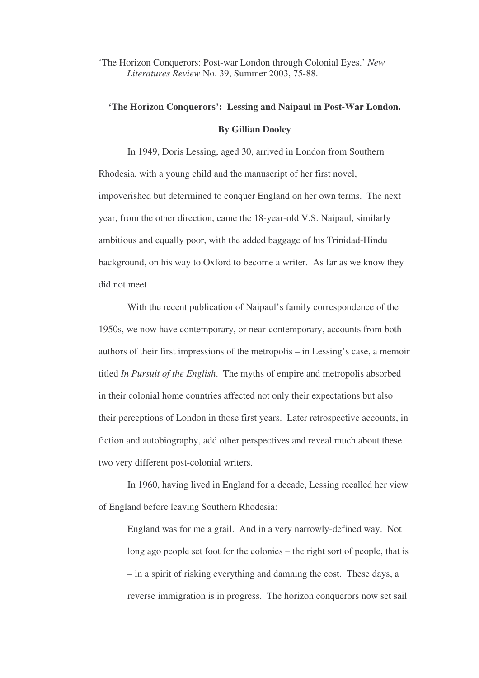'The Horizon Conquerors: Post-war London through Colonial Eyes.' *New Literatures Review* No. 39, Summer 2003, 75-88.

## **'The Horizon Conquerors': Lessing and Naipaul in Post-War London. By Gillian Dooley**

In 1949, Doris Lessing, aged 30, arrived in London from Southern Rhodesia, with a young child and the manuscript of her first novel, impoverished but determined to conquer England on her own terms. The next year, from the other direction, came the 18-year-old V.S. Naipaul, similarly ambitious and equally poor, with the added baggage of his Trinidad-Hindu background, on his way to Oxford to become a writer. As far as we know they did not meet.

With the recent publication of Naipaul's family correspondence of the 1950s, we now have contemporary, or near-contemporary, accounts from both authors of their first impressions of the metropolis – in Lessing's case, a memoir titled *In Pursuit of the English*. The myths of empire and metropolis absorbed in their colonial home countries affected not only their expectations but also their perceptions of London in those first years. Later retrospective accounts, in fiction and autobiography, add other perspectives and reveal much about these two very different post-colonial writers.

In 1960, having lived in England for a decade, Lessing recalled her view of England before leaving Southern Rhodesia:

England was for me a grail. And in a very narrowly-defined way. Not long ago people set foot for the colonies – the right sort of people, that is – in a spirit of risking everything and damning the cost. These days, a reverse immigration is in progress. The horizon conquerors now set sail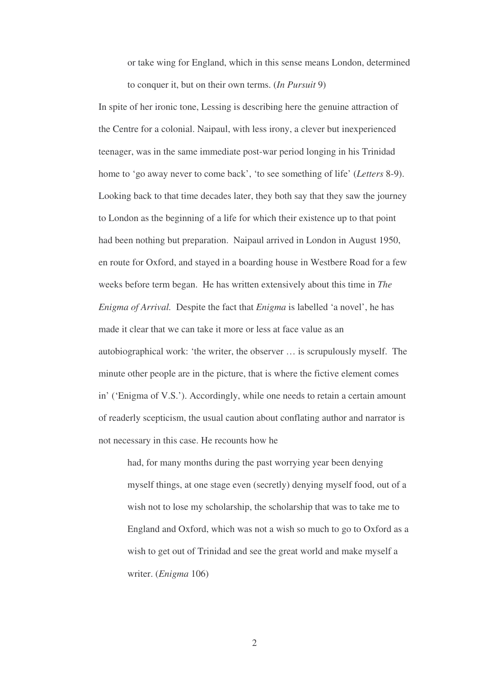or take wing for England, which in this sense means London, determined to conquer it, but on their own terms. (*In Pursuit* 9)

In spite of her ironic tone, Lessing is describing here the genuine attraction of the Centre for a colonial. Naipaul, with less irony, a clever but inexperienced teenager, was in the same immediate post-war period longing in his Trinidad home to 'go away never to come back', 'to see something of life' (*Letters* 8-9). Looking back to that time decades later, they both say that they saw the journey to London as the beginning of a life for which their existence up to that point had been nothing but preparation. Naipaul arrived in London in August 1950, en route for Oxford, and stayed in a boarding house in Westbere Road for a few weeks before term began. He has written extensively about this time in *The Enigma of Arrival.* Despite the fact that *Enigma* is labelled 'a novel', he has made it clear that we can take it more or less at face value as an autobiographical work: 'the writer, the observer … is scrupulously myself. The minute other people are in the picture, that is where the fictive element comes in' ('Enigma of V.S.'). Accordingly, while one needs to retain a certain amount of readerly scepticism, the usual caution about conflating author and narrator is not necessary in this case. He recounts how he

had, for many months during the past worrying year been denying myself things, at one stage even (secretly) denying myself food, out of a wish not to lose my scholarship, the scholarship that was to take me to England and Oxford, which was not a wish so much to go to Oxford as a wish to get out of Trinidad and see the great world and make myself a writer. (*Enigma* 106)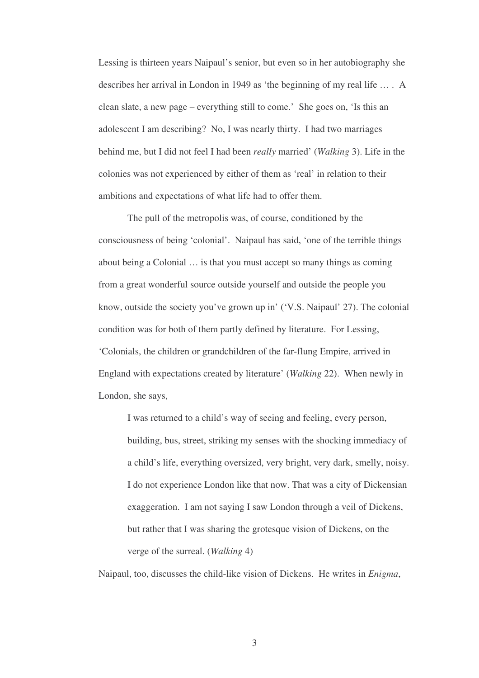Lessing is thirteen years Naipaul's senior, but even so in her autobiography she describes her arrival in London in 1949 as 'the beginning of my real life … . A clean slate, a new page – everything still to come.' She goes on, 'Is this an adolescent I am describing? No, I was nearly thirty. I had two marriages behind me, but I did not feel I had been *really* married' (*Walking* 3). Life in the colonies was not experienced by either of them as 'real' in relation to their ambitions and expectations of what life had to offer them.

The pull of the metropolis was, of course, conditioned by the consciousness of being 'colonial'. Naipaul has said, 'one of the terrible things about being a Colonial … is that you must accept so many things as coming from a great wonderful source outside yourself and outside the people you know, outside the society you've grown up in' ('V.S. Naipaul' 27). The colonial condition was for both of them partly defined by literature. For Lessing, 'Colonials, the children or grandchildren of the far-flung Empire, arrived in England with expectations created by literature' (*Walking* 22). When newly in London, she says,

I was returned to a child's way of seeing and feeling, every person, building, bus, street, striking my senses with the shocking immediacy of a child's life, everything oversized, very bright, very dark, smelly, noisy. I do not experience London like that now. That was a city of Dickensian exaggeration. I am not saying I saw London through a veil of Dickens, but rather that I was sharing the grotesque vision of Dickens, on the verge of the surreal. (*Walking* 4)

Naipaul, too, discusses the child-like vision of Dickens. He writes in *Enigma*,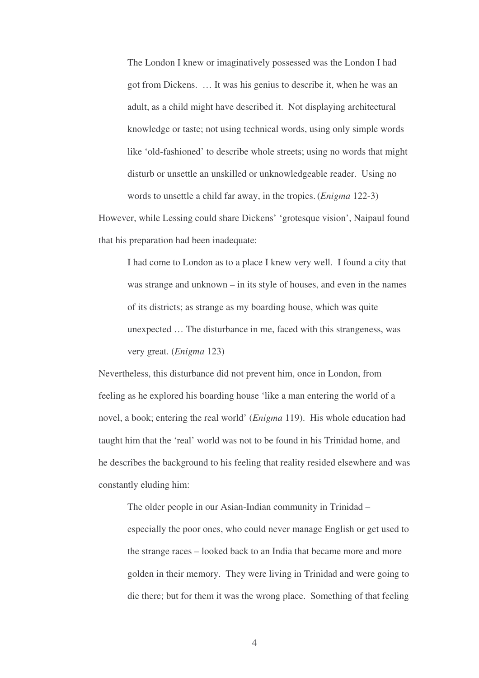The London I knew or imaginatively possessed was the London I had got from Dickens. … It was his genius to describe it, when he was an adult, as a child might have described it. Not displaying architectural knowledge or taste; not using technical words, using only simple words like 'old-fashioned' to describe whole streets; using no words that might disturb or unsettle an unskilled or unknowledgeable reader. Using no words to unsettle a child far away, in the tropics.(*Enigma* 122-3)

However, while Lessing could share Dickens' 'grotesque vision', Naipaul found that his preparation had been inadequate:

I had come to London as to a place I knew very well. I found a city that was strange and unknown – in its style of houses, and even in the names of its districts; as strange as my boarding house, which was quite unexpected … The disturbance in me, faced with this strangeness, was very great. (*Enigma* 123)

Nevertheless, this disturbance did not prevent him, once in London, from feeling as he explored his boarding house 'like a man entering the world of a novel, a book; entering the real world' (*Enigma* 119). His whole education had taught him that the 'real' world was not to be found in his Trinidad home, and he describes the background to his feeling that reality resided elsewhere and was constantly eluding him:

The older people in our Asian-Indian community in Trinidad – especially the poor ones, who could never manage English or get used to the strange races – looked back to an India that became more and more golden in their memory. They were living in Trinidad and were going to die there; but for them it was the wrong place. Something of that feeling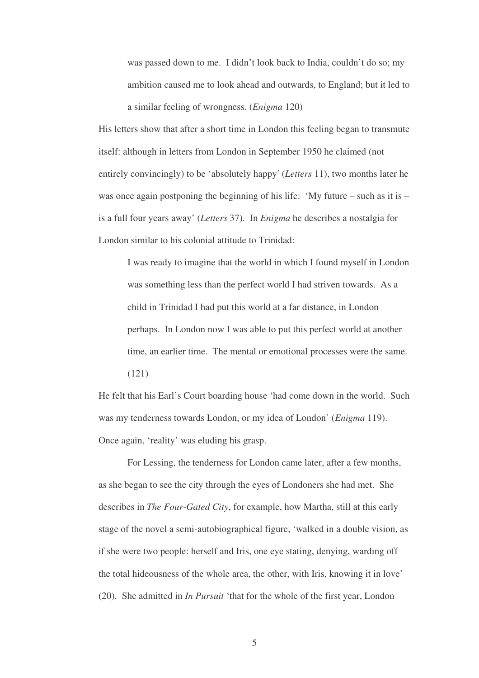was passed down to me. I didn't look back to India, couldn't do so; my ambition caused me to look ahead and outwards, to England; but it led to a similar feeling of wrongness. (*Enigma* 120)

His letters show that after a short time in London this feeling began to transmute itself: although in letters from London in September 1950 he claimed (not entirely convincingly) to be 'absolutely happy' (*Letters* 11), two months later he was once again postponing the beginning of his life: 'My future – such as it is – is a full four years away' (*Letters* 37). In *Enigma* he describes a nostalgia for London similar to his colonial attitude to Trinidad:

I was ready to imagine that the world in which I found myself in London was something less than the perfect world I had striven towards. As a child in Trinidad I had put this world at a far distance, in London perhaps. In London now I was able to put this perfect world at another time, an earlier time. The mental or emotional processes were the same. (121)

He felt that his Earl's Court boarding house 'had come down in the world. Such was my tenderness towards London, or my idea of London' (*Enigma* 119). Once again, 'reality' was eluding his grasp.

For Lessing, the tenderness for London came later, after a few months, as she began to see the city through the eyes of Londoners she had met. She describes in *The Four-Gated City*, for example, how Martha, still at this early stage of the novel a semi-autobiographical figure, 'walked in a double vision, as if she were two people: herself and Iris, one eye stating, denying, warding off the total hideousness of the whole area, the other, with Iris, knowing it in love' (20). She admitted in *In Pursuit* 'that for the whole of the first year, London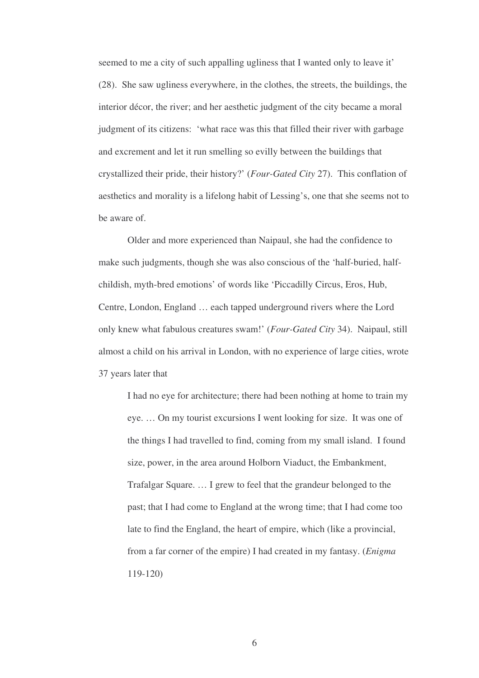seemed to me a city of such appalling ugliness that I wanted only to leave it' (28). She saw ugliness everywhere, in the clothes, the streets, the buildings, the interior décor, the river; and her aesthetic judgment of the city became a moral judgment of its citizens: 'what race was this that filled their river with garbage and excrement and let it run smelling so evilly between the buildings that crystallized their pride, their history?' (*Four-Gated City* 27). This conflation of aesthetics and morality is a lifelong habit of Lessing's, one that she seems not to be aware of.

Older and more experienced than Naipaul, she had the confidence to make such judgments, though she was also conscious of the 'half-buried, halfchildish, myth-bred emotions' of words like 'Piccadilly Circus, Eros, Hub, Centre, London, England … each tapped underground rivers where the Lord only knew what fabulous creatures swam!' (*Four-Gated City* 34). Naipaul, still almost a child on his arrival in London, with no experience of large cities, wrote 37 years later that

I had no eye for architecture; there had been nothing at home to train my eye. … On my tourist excursions I went looking for size. It was one of the things I had travelled to find, coming from my small island. I found size, power, in the area around Holborn Viaduct, the Embankment, Trafalgar Square. … I grew to feel that the grandeur belonged to the past; that I had come to England at the wrong time; that I had come too late to find the England, the heart of empire, which (like a provincial, from a far corner of the empire) I had created in my fantasy. (*Enigma* 119-120)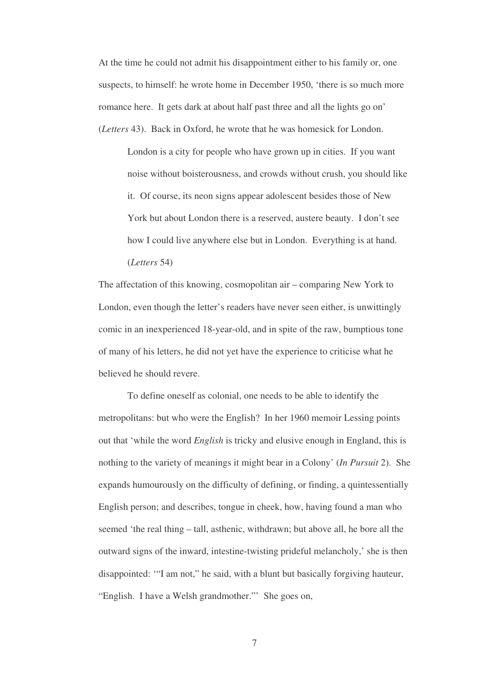At the time he could not admit his disappointment either to his family or, one suspects, to himself: he wrote home in December 1950, 'there is so much more romance here. It gets dark at about half past three and all the lights go on' (*Letters* 43). Back in Oxford, he wrote that he was homesick for London.

London is a city for people who have grown up in cities. If you want noise without boisterousness, and crowds without crush, you should like it. Of course, its neon signs appear adolescent besides those of New York but about London there is a reserved, austere beauty. I don't see how I could live anywhere else but in London. Everything is at hand. (*Letters* 54)

The affectation of this knowing, cosmopolitan air – comparing New York to London, even though the letter's readers have never seen either, is unwittingly comic in an inexperienced 18-year-old, and in spite of the raw, bumptious tone of many of his letters, he did not yet have the experience to criticise what he believed he should revere.

To define oneself as colonial, one needs to be able to identify the metropolitans: but who were the English? In her 1960 memoir Lessing points out that 'while the word *English* is tricky and elusive enough in England, this is nothing to the variety of meanings it might bear in a Colony' (*In Pursuit* 2). She expands humourously on the difficulty of defining, or finding, a quintessentially English person; and describes, tongue in cheek, how, having found a man who seemed 'the real thing – tall, asthenic, withdrawn; but above all, he bore all the outward signs of the inward, intestine-twisting prideful melancholy,' she is then disappointed: '"I am not," he said, with a blunt but basically forgiving hauteur, "English. I have a Welsh grandmother."' She goes on,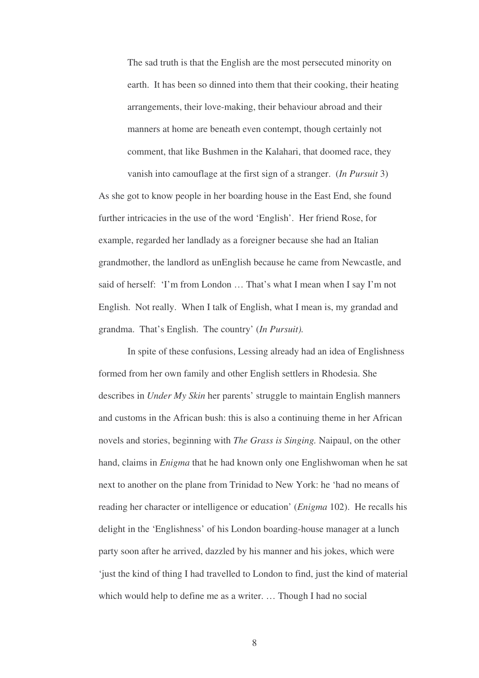The sad truth is that the English are the most persecuted minority on earth. It has been so dinned into them that their cooking, their heating arrangements, their love-making, their behaviour abroad and their manners at home are beneath even contempt, though certainly not comment, that like Bushmen in the Kalahari, that doomed race, they

vanish into camouflage at the first sign of a stranger. (*In Pursuit* 3)

As she got to know people in her boarding house in the East End, she found further intricacies in the use of the word 'English'. Her friend Rose, for example, regarded her landlady as a foreigner because she had an Italian grandmother, the landlord as unEnglish because he came from Newcastle, and said of herself: 'I'm from London … That's what I mean when I say I'm not English. Not really. When I talk of English, what I mean is, my grandad and grandma. That's English. The country' (*In Pursuit).*

In spite of these confusions, Lessing already had an idea of Englishness formed from her own family and other English settlers in Rhodesia. She describes in *Under My Skin* her parents' struggle to maintain English manners and customs in the African bush: this is also a continuing theme in her African novels and stories, beginning with *The Grass is Singing.* Naipaul, on the other hand, claims in *Enigma* that he had known only one Englishwoman when he sat next to another on the plane from Trinidad to New York: he 'had no means of reading her character or intelligence or education' (*Enigma* 102). He recalls his delight in the 'Englishness' of his London boarding-house manager at a lunch party soon after he arrived, dazzled by his manner and his jokes, which were 'just the kind of thing I had travelled to London to find, just the kind of material which would help to define me as a writer. ... Though I had no social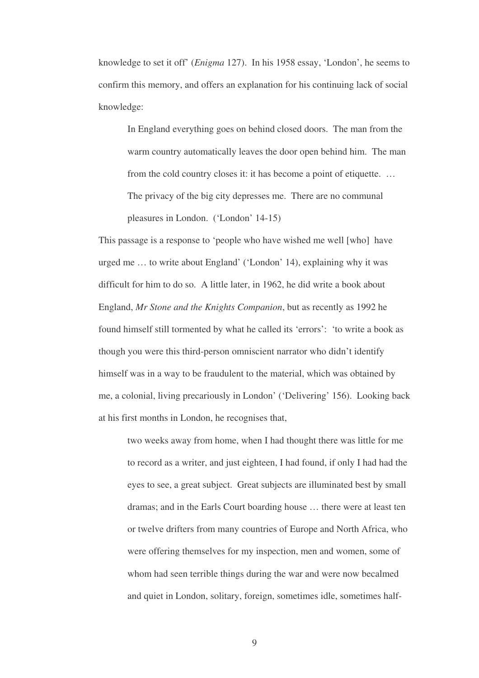knowledge to set it off' (*Enigma* 127). In his 1958 essay, 'London', he seems to confirm this memory, and offers an explanation for his continuing lack of social knowledge:

In England everything goes on behind closed doors. The man from the warm country automatically leaves the door open behind him. The man from the cold country closes it: it has become a point of etiquette. … The privacy of the big city depresses me. There are no communal pleasures in London. ('London' 14-15)

This passage is a response to 'people who have wished me well [who] have urged me … to write about England' ('London' 14), explaining why it was difficult for him to do so. A little later, in 1962, he did write a book about England, *Mr Stone and the Knights Companion*, but as recently as 1992 he found himself still tormented by what he called its 'errors': 'to write a book as though you were this third-person omniscient narrator who didn't identify himself was in a way to be fraudulent to the material, which was obtained by me, a colonial, living precariously in London' ('Delivering' 156). Looking back at his first months in London, he recognises that,

two weeks away from home, when I had thought there was little for me to record as a writer, and just eighteen, I had found, if only I had had the eyes to see, a great subject. Great subjects are illuminated best by small dramas; and in the Earls Court boarding house … there were at least ten or twelve drifters from many countries of Europe and North Africa, who were offering themselves for my inspection, men and women, some of whom had seen terrible things during the war and were now becalmed and quiet in London, solitary, foreign, sometimes idle, sometimes half-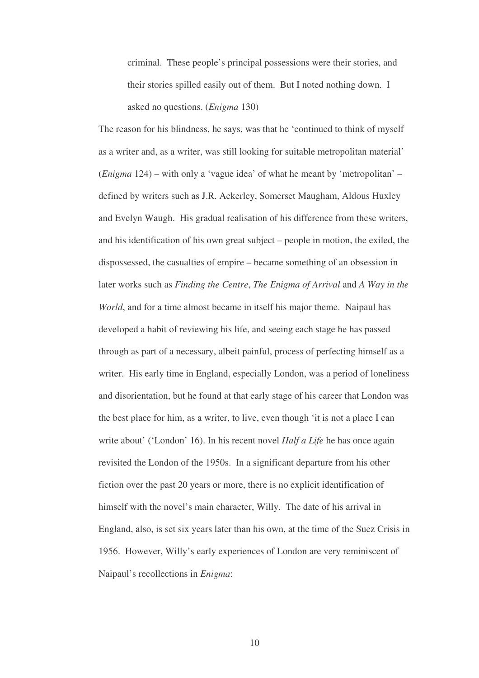criminal. These people's principal possessions were their stories, and their stories spilled easily out of them. But I noted nothing down. I asked no questions. (*Enigma* 130)

The reason for his blindness, he says, was that he 'continued to think of myself as a writer and, as a writer, was still looking for suitable metropolitan material' (*Enigma* 124) – with only a 'vague idea' of what he meant by 'metropolitan' – defined by writers such as J.R. Ackerley, Somerset Maugham, Aldous Huxley and Evelyn Waugh. His gradual realisation of his difference from these writers, and his identification of his own great subject – people in motion, the exiled, the dispossessed, the casualties of empire – became something of an obsession in later works such as *Finding the Centre*, *The Enigma of Arrival* and *A Way in the World*, and for a time almost became in itself his major theme. Naipaul has developed a habit of reviewing his life, and seeing each stage he has passed through as part of a necessary, albeit painful, process of perfecting himself as a writer. His early time in England, especially London, was a period of loneliness and disorientation, but he found at that early stage of his career that London was the best place for him, as a writer, to live, even though 'it is not a place I can write about' ('London' 16). In his recent novel *Half a Life* he has once again revisited the London of the 1950s. In a significant departure from his other fiction over the past 20 years or more, there is no explicit identification of himself with the novel's main character, Willy. The date of his arrival in England, also, is set six years later than his own, at the time of the Suez Crisis in 1956. However, Willy's early experiences of London are very reminiscent of Naipaul's recollections in *Enigma*: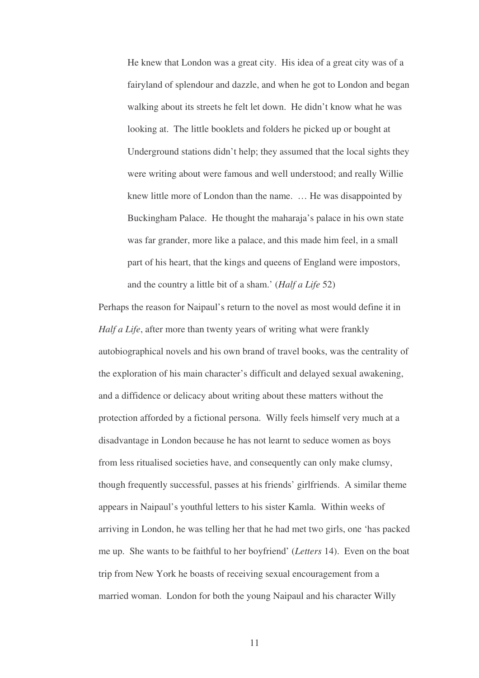He knew that London was a great city. His idea of a great city was of a fairyland of splendour and dazzle, and when he got to London and began walking about its streets he felt let down. He didn't know what he was looking at. The little booklets and folders he picked up or bought at Underground stations didn't help; they assumed that the local sights they were writing about were famous and well understood; and really Willie knew little more of London than the name. … He was disappointed by Buckingham Palace. He thought the maharaja's palace in his own state was far grander, more like a palace, and this made him feel, in a small part of his heart, that the kings and queens of England were impostors, and the country a little bit of a sham.' (*Half a Life* 52)

Perhaps the reason for Naipaul's return to the novel as most would define it in *Half a Life*, after more than twenty years of writing what were frankly autobiographical novels and his own brand of travel books, was the centrality of the exploration of his main character's difficult and delayed sexual awakening, and a diffidence or delicacy about writing about these matters without the protection afforded by a fictional persona. Willy feels himself very much at a disadvantage in London because he has not learnt to seduce women as boys from less ritualised societies have, and consequently can only make clumsy, though frequently successful, passes at his friends' girlfriends. A similar theme appears in Naipaul's youthful letters to his sister Kamla. Within weeks of arriving in London, he was telling her that he had met two girls, one 'has packed me up. She wants to be faithful to her boyfriend' (*Letters* 14). Even on the boat trip from New York he boasts of receiving sexual encouragement from a married woman. London for both the young Naipaul and his character Willy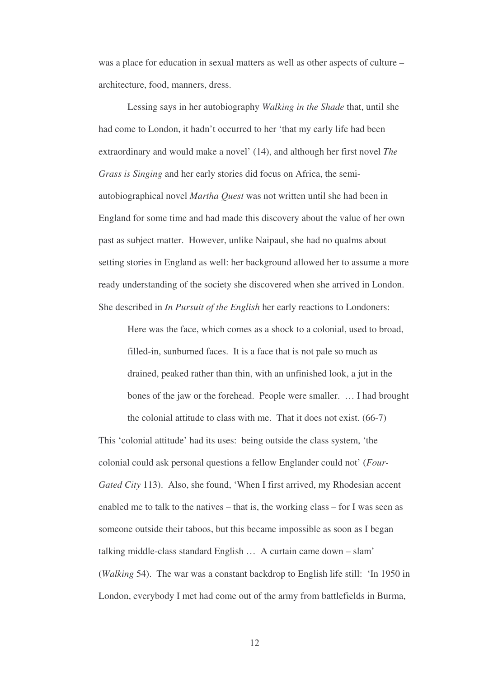was a place for education in sexual matters as well as other aspects of culture – architecture, food, manners, dress.

Lessing says in her autobiography *Walking in the Shade* that, until she had come to London, it hadn't occurred to her 'that my early life had been extraordinary and would make a novel' (14), and although her first novel *The Grass is Singing* and her early stories did focus on Africa, the semiautobiographical novel *Martha Quest* was not written until she had been in England for some time and had made this discovery about the value of her own past as subject matter. However, unlike Naipaul, she had no qualms about setting stories in England as well: her background allowed her to assume a more ready understanding of the society she discovered when she arrived in London. She described in *In Pursuit of the English* her early reactions to Londoners:

Here was the face, which comes as a shock to a colonial, used to broad, filled-in, sunburned faces. It is a face that is not pale so much as drained, peaked rather than thin, with an unfinished look, a jut in the bones of the jaw or the forehead. People were smaller. … I had brought the colonial attitude to class with me. That it does not exist. (66-7)

This 'colonial attitude' had its uses: being outside the class system, 'the colonial could ask personal questions a fellow Englander could not' (*Four-Gated City* 113). Also, she found, 'When I first arrived, my Rhodesian accent enabled me to talk to the natives – that is, the working class – for I was seen as someone outside their taboos, but this became impossible as soon as I began talking middle-class standard English … A curtain came down – slam' (*Walking* 54). The war was a constant backdrop to English life still: 'In 1950 in London, everybody I met had come out of the army from battlefields in Burma,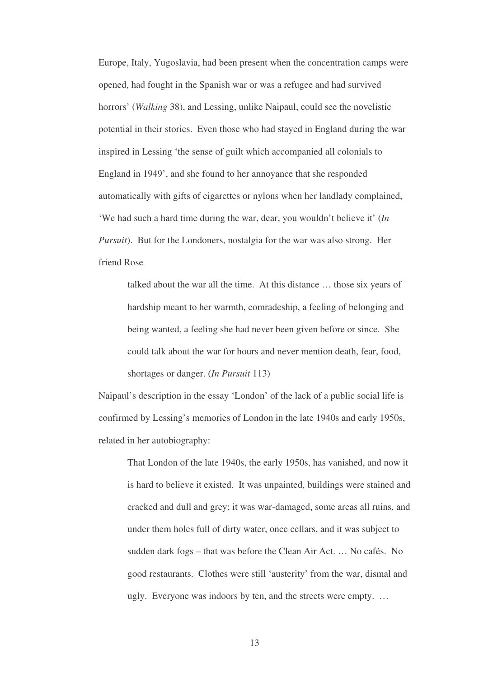Europe, Italy, Yugoslavia, had been present when the concentration camps were opened, had fought in the Spanish war or was a refugee and had survived horrors' (*Walking* 38), and Lessing, unlike Naipaul, could see the novelistic potential in their stories. Even those who had stayed in England during the war inspired in Lessing 'the sense of guilt which accompanied all colonials to England in 1949', and she found to her annoyance that she responded automatically with gifts of cigarettes or nylons when her landlady complained, 'We had such a hard time during the war, dear, you wouldn't believe it' (*In Pursuit*). But for the Londoners, nostalgia for the war was also strong. Her friend Rose

talked about the war all the time. At this distance … those six years of hardship meant to her warmth, comradeship, a feeling of belonging and being wanted, a feeling she had never been given before or since. She could talk about the war for hours and never mention death, fear, food, shortages or danger. (*In Pursuit* 113)

Naipaul's description in the essay 'London' of the lack of a public social life is confirmed by Lessing's memories of London in the late 1940s and early 1950s, related in her autobiography:

That London of the late 1940s, the early 1950s, has vanished, and now it is hard to believe it existed. It was unpainted, buildings were stained and cracked and dull and grey; it was war-damaged, some areas all ruins, and under them holes full of dirty water, once cellars, and it was subject to sudden dark fogs – that was before the Clean Air Act. … No cafés. No good restaurants. Clothes were still 'austerity' from the war, dismal and ugly. Everyone was indoors by ten, and the streets were empty. …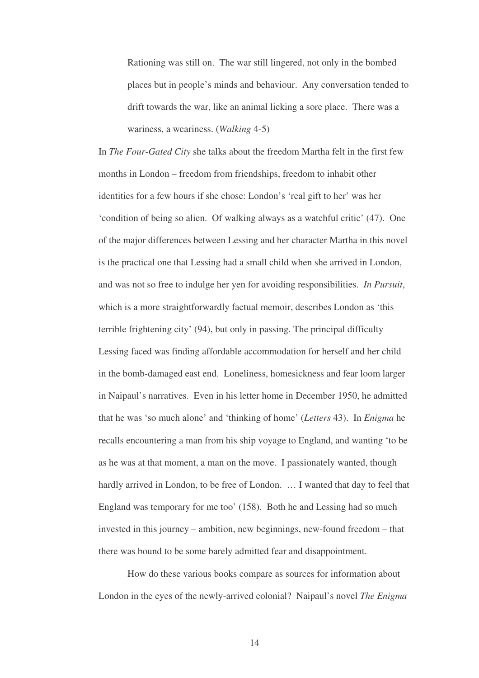Rationing was still on. The war still lingered, not only in the bombed places but in people's minds and behaviour. Any conversation tended to drift towards the war, like an animal licking a sore place. There was a wariness, a weariness. (*Walking* 4-5)

In *The Four-Gated City* she talks about the freedom Martha felt in the first few months in London – freedom from friendships, freedom to inhabit other identities for a few hours if she chose: London's 'real gift to her' was her 'condition of being so alien. Of walking always as a watchful critic' (47). One of the major differences between Lessing and her character Martha in this novel is the practical one that Lessing had a small child when she arrived in London, and was not so free to indulge her yen for avoiding responsibilities. *In Pursuit*, which is a more straightforwardly factual memoir, describes London as 'this terrible frightening city' (94), but only in passing. The principal difficulty Lessing faced was finding affordable accommodation for herself and her child in the bomb-damaged east end. Loneliness, homesickness and fear loom larger in Naipaul's narratives. Even in his letter home in December 1950, he admitted that he was 'so much alone' and 'thinking of home' (*Letters* 43). In *Enigma* he recalls encountering a man from his ship voyage to England, and wanting 'to be as he was at that moment, a man on the move. I passionately wanted, though hardly arrived in London, to be free of London. … I wanted that day to feel that England was temporary for me too' (158). Both he and Lessing had so much invested in this journey – ambition, new beginnings, new-found freedom – that there was bound to be some barely admitted fear and disappointment.

How do these various books compare as sources for information about London in the eyes of the newly-arrived colonial? Naipaul's novel *The Enigma*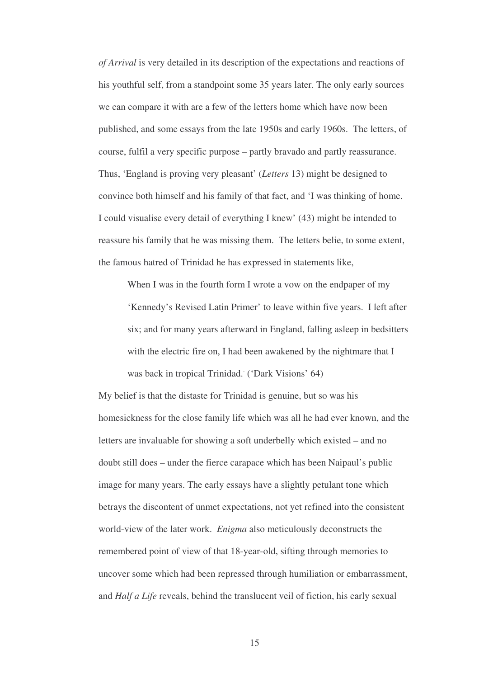*of Arrival* is very detailed in its description of the expectations and reactions of his youthful self, from a standpoint some 35 years later. The only early sources we can compare it with are a few of the letters home which have now been published, and some essays from the late 1950s and early 1960s. The letters, of course, fulfil a very specific purpose – partly bravado and partly reassurance. Thus, 'England is proving very pleasant' (*Letters* 13) might be designed to convince both himself and his family of that fact, and 'I was thinking of home. I could visualise every detail of everything I knew' (43) might be intended to reassure his family that he was missing them. The letters belie, to some extent, the famous hatred of Trinidad he has expressed in statements like,

When I was in the fourth form I wrote a vow on the endpaper of my 'Kennedy's Revised Latin Primer' to leave within five years. I left after six; and for many years afterward in England, falling asleep in bedsitters with the electric fire on, I had been awakened by the nightmare that I was back in tropical Trinidad. . ('Dark Visions' 64)

My belief is that the distaste for Trinidad is genuine, but so was his homesickness for the close family life which was all he had ever known, and the letters are invaluable for showing a soft underbelly which existed – and no doubt still does – under the fierce carapace which has been Naipaul's public image for many years. The early essays have a slightly petulant tone which betrays the discontent of unmet expectations, not yet refined into the consistent world-view of the later work. *Enigma* also meticulously deconstructs the remembered point of view of that 18-year-old, sifting through memories to uncover some which had been repressed through humiliation or embarrassment, and *Half a Life* reveals, behind the translucent veil of fiction, his early sexual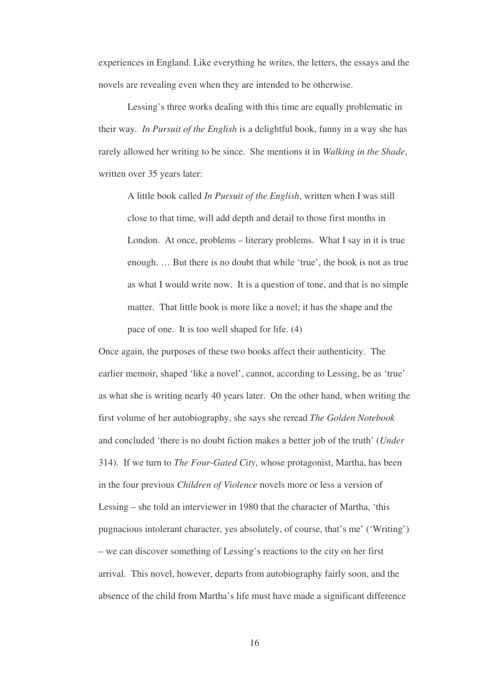experiences in England. Like everything he writes, the letters, the essays and the novels are revealing even when they are intended to be otherwise.

Lessing's three works dealing with this time are equally problematic in their way. *In Pursuit of the English* is a delightful book, funny in a way she has rarely allowed her writing to be since. She mentions it in *Walking in the Shade*, written over 35 years later:

A little book called *In Pursuit of the English*, written when I was still close to that time, will add depth and detail to those first months in London. At once, problems – literary problems. What I say in it is true enough. … But there is no doubt that while 'true', the book is not as true as what I would write now. It is a question of tone, and that is no simple matter. That little book is more like a novel; it has the shape and the pace of one. It is too well shaped for life. (4)

Once again, the purposes of these two books affect their authenticity. The earlier memoir, shaped 'like a novel', cannot, according to Lessing, be as 'true' as what she is writing nearly 40 years later. On the other hand, when writing the first volume of her autobiography, she says she reread *The Golden Notebook* and concluded 'there is no doubt fiction makes a better job of the truth' (*Under* 314). If we turn to *The Four-Gated City*, whose protagonist, Martha, has been in the four previous *Children of Violence* novels more or less a version of Lessing – she told an interviewer in 1980 that the character of Martha, 'this pugnacious intolerant character, yes absolutely, of course, that's me' ('Writing') – we can discover something of Lessing's reactions to the city on her first arrival. This novel, however, departs from autobiography fairly soon, and the absence of the child from Martha's life must have made a significant difference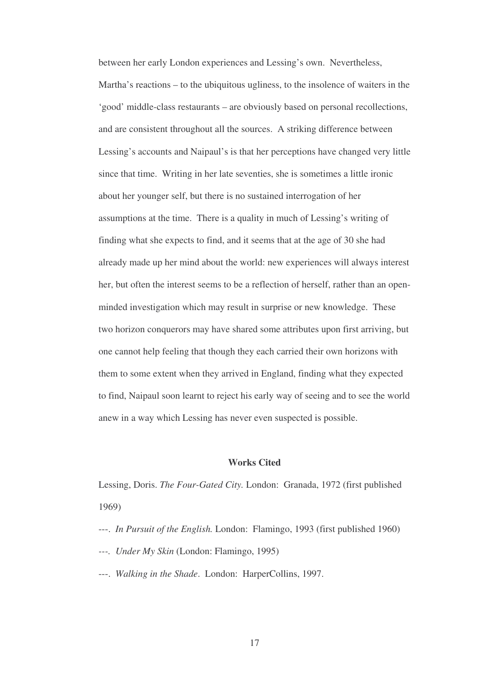between her early London experiences and Lessing's own. Nevertheless, Martha's reactions – to the ubiquitous ugliness, to the insolence of waiters in the 'good' middle-class restaurants – are obviously based on personal recollections, and are consistent throughout all the sources. A striking difference between Lessing's accounts and Naipaul's is that her perceptions have changed very little since that time. Writing in her late seventies, she is sometimes a little ironic about her younger self, but there is no sustained interrogation of her assumptions at the time. There is a quality in much of Lessing's writing of finding what she expects to find, and it seems that at the age of 30 she had already made up her mind about the world: new experiences will always interest her, but often the interest seems to be a reflection of herself, rather than an openminded investigation which may result in surprise or new knowledge. These two horizon conquerors may have shared some attributes upon first arriving, but one cannot help feeling that though they each carried their own horizons with them to some extent when they arrived in England, finding what they expected to find, Naipaul soon learnt to reject his early way of seeing and to see the world anew in a way which Lessing has never even suspected is possible.

## **Works Cited**

Lessing, Doris. *The Four-Gated City.* London: Granada, 1972 (first published 1969)

- ---. *In Pursuit of the English.* London: Flamingo, 1993 (first published 1960)
- *---. Under My Skin* (London: Flamingo, 1995)
- ---. *Walking in the Shade*. London: HarperCollins, 1997.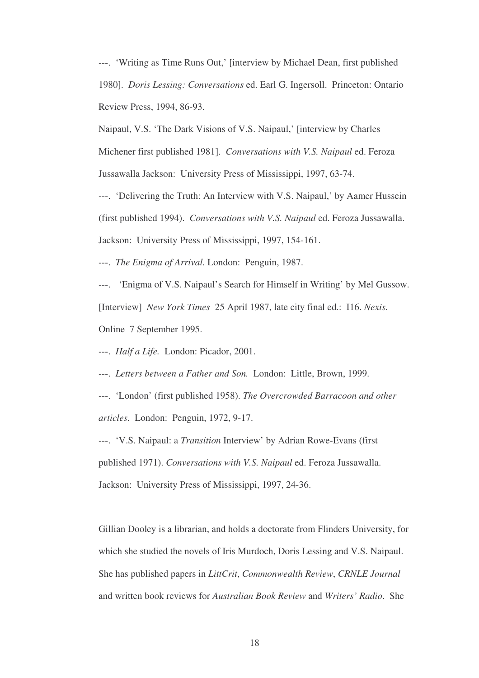---. 'Writing as Time Runs Out,' [interview by Michael Dean, first published 1980]. *Doris Lessing: Conversations* ed. Earl G. Ingersoll. Princeton: Ontario Review Press, 1994, 86-93.

Naipaul, V.S. 'The Dark Visions of V.S. Naipaul,' [interview by Charles Michener first published 1981]. *Conversations with V.S. Naipaul* ed. Feroza Jussawalla Jackson: University Press of Mississippi, 1997, 63-74.

---. 'Delivering the Truth: An Interview with V.S. Naipaul,' by Aamer Hussein (first published 1994). *Conversations with V.S. Naipaul* ed. Feroza Jussawalla. Jackson: University Press of Mississippi, 1997, 154-161.

---. *The Enigma of Arrival.* London: Penguin, 1987.

---. 'Enigma of V.S. Naipaul's Search for Himself in Writing' by Mel Gussow. [Interview] *New York Times* 25 April 1987, late city final ed.: I16. *Nexis.* Online 7 September 1995.

---. *Half a Life.* London: Picador, 2001.

---. *Letters between a Father and Son.* London: Little, Brown, 1999.

---. 'London' (first published 1958). *The Overcrowded Barracoon and other articles.* London: Penguin, 1972, 9-17.

---. 'V.S. Naipaul: a *Transition* Interview' by Adrian Rowe-Evans (first published 1971). *Conversations with V.S. Naipaul* ed. Feroza Jussawalla. Jackson: University Press of Mississippi, 1997, 24-36.

Gillian Dooley is a librarian, and holds a doctorate from Flinders University, for which she studied the novels of Iris Murdoch, Doris Lessing and V.S. Naipaul. She has published papers in *LittCrit*, *Commonwealth Review*, *CRNLE Journal* and written book reviews for *Australian Book Review* and *Writers' Radio*. She